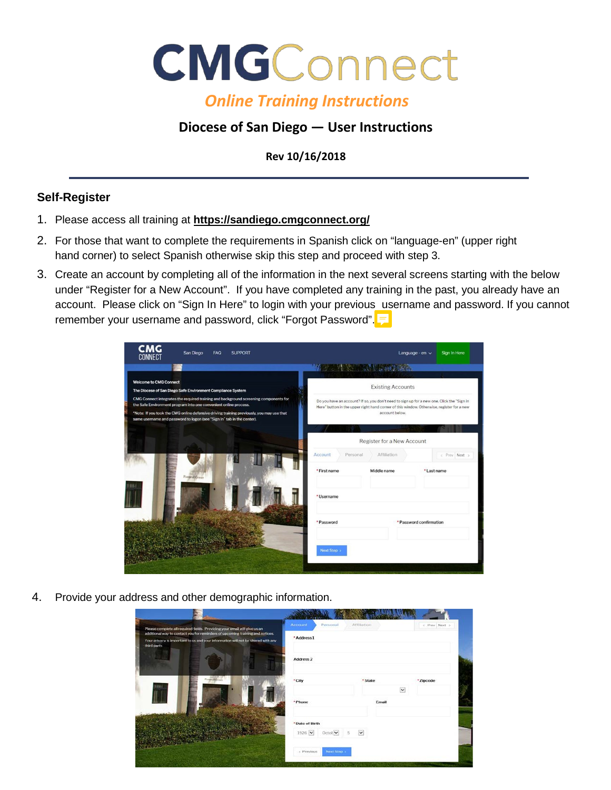

## *Online Training Instructions*

## **Diocese of San Diego — User Instructions**

**Rev 10/16/2018**

## **Self-Register**

- 1. Please access all training at **<https://sandiego.cmgconnect.org/>**
- 2. For those that want to complete the requirements in Spanish click on "language-en" (upper right hand corner) to select Spanish otherwise skip this step and proceed with step 3.
- 3. Create an account by completing all of the information in the next several screens starting with the below under "Register for a New Account". If you have completed any training in the past, you already have an account. Please click on "Sign In Here" to login with your previous username and password. If you cannot remember your username and password, click "Forgot Password".

| <b>CMG</b><br>CONNECT<br>San Diego<br>FAQ<br><b>SUPPORT</b>                                                                                                                                                                                                                                                                     |                                               | Language - en $\sim$                                                                                                                                                                                      | Sign In Here  |  |
|---------------------------------------------------------------------------------------------------------------------------------------------------------------------------------------------------------------------------------------------------------------------------------------------------------------------------------|-----------------------------------------------|-----------------------------------------------------------------------------------------------------------------------------------------------------------------------------------------------------------|---------------|--|
|                                                                                                                                                                                                                                                                                                                                 | <b>WAS AIR ASSESSMENT OF A REAL PROPERTY.</b> |                                                                                                                                                                                                           |               |  |
| <b>Welcome to CMG Connect</b><br>The Diocese of San Diego Safe Environment Compliance System                                                                                                                                                                                                                                    |                                               | <b>Existing Accounts</b>                                                                                                                                                                                  |               |  |
| CMG Connect integrates the required training and background screening components for<br>the Safe Environment program into one convenient online process.<br>*Note: If you took the CMG online defensive driving training previously, you may use that<br>same username and password to logon (see "Sign In" tab in the center). |                                               | Do you have an account? If so, you don't need to sign up for a new one. Click the "Sign In<br>Here" button in the upper right hand corner of this window. Otherwise, register for a new<br>account below. |               |  |
|                                                                                                                                                                                                                                                                                                                                 |                                               |                                                                                                                                                                                                           |               |  |
|                                                                                                                                                                                                                                                                                                                                 | Register for a New Account                    |                                                                                                                                                                                                           |               |  |
|                                                                                                                                                                                                                                                                                                                                 | Account<br>Personal                           | Affiliation                                                                                                                                                                                               | < Prev Next > |  |
| Pastoral Center                                                                                                                                                                                                                                                                                                                 | * First name                                  | Middle name                                                                                                                                                                                               | *Last name    |  |
|                                                                                                                                                                                                                                                                                                                                 | * Username                                    |                                                                                                                                                                                                           |               |  |
|                                                                                                                                                                                                                                                                                                                                 | * Password                                    | * Password confirmation                                                                                                                                                                                   |               |  |
|                                                                                                                                                                                                                                                                                                                                 | Next Step >                                   |                                                                                                                                                                                                           |               |  |

4. Provide your address and other demographic information.

| Please complete all required fields. Providing your email will give us an<br>additional way to contact you for reminders of upcoming training and notices. | Account<br>Personal<br>* Address 1 | Affiliation                  | c Prev Next > |
|------------------------------------------------------------------------------------------------------------------------------------------------------------|------------------------------------|------------------------------|---------------|
| Your privacy is important to us and your information will not be shared with any<br>third party.                                                           |                                    |                              |               |
|                                                                                                                                                            | Address <sub>2</sub>               |                              |               |
| Passest Growt                                                                                                                                              | * City                             | * State                      | * Zipcode     |
|                                                                                                                                                            |                                    | $\checkmark$                 |               |
|                                                                                                                                                            | * Phone                            | Email                        |               |
|                                                                                                                                                            |                                    |                              |               |
|                                                                                                                                                            | *Date of Birth                     |                              |               |
|                                                                                                                                                            | 1926 ₩<br>Octot V                  | $\overline{\mathbf{v}}$<br>5 |               |
|                                                                                                                                                            | Next Step: s<br>c Previous         |                              |               |
|                                                                                                                                                            |                                    |                              |               |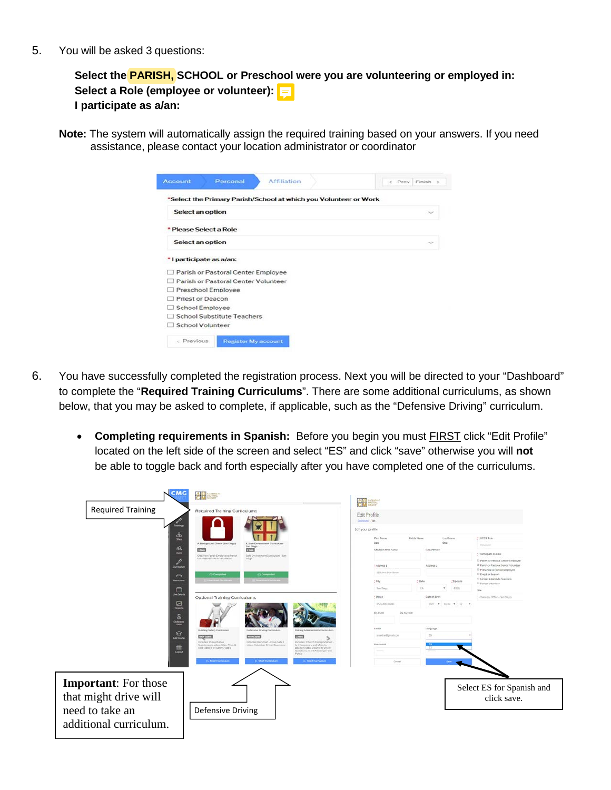5. You will be asked 3 questions:

**Select the PARISH, SCHOOL or Preschool were you are volunteering or employed in: Select a Role (employee or volunteer): I participate as a/an:** 

**Note:** The system will automatically assign the required training based on your answers. If you need assistance, please contact your location administrator or coordinator

| <b>Account</b>   | Personal                            | <b>Affiliation</b>                                               | < Prev Finish >       |
|------------------|-------------------------------------|------------------------------------------------------------------|-----------------------|
|                  |                                     | *Select the Primary Parish/School at which you Volunteer or Work |                       |
| Select an option |                                     |                                                                  | $\sim$                |
|                  | * Please Select a Role              |                                                                  |                       |
| Select an option |                                     |                                                                  | $\tilde{\phantom{a}}$ |
|                  | *I participate as a/an:             |                                                                  |                       |
|                  | Parish or Pastoral Center Employee  |                                                                  |                       |
|                  | Parish or Pastoral Center Volunteer |                                                                  |                       |
|                  | $\Box$ Preschool Employee           |                                                                  |                       |
| Priest or Deacon |                                     |                                                                  |                       |
|                  | <b>School Employee</b>              |                                                                  |                       |
|                  | <b>School Substitute Teachers</b>   |                                                                  |                       |
| School Volunteer |                                     |                                                                  |                       |
| < Previous       | <b>Register My account</b>          |                                                                  |                       |

- 6. You have successfully completed the registration process. Next you will be directed to your "Dashboard" to complete the "**Required Training Curriculums**". There are some additional curriculums, as shown below, that you may be asked to complete, if applicable, such as the "Defensive Driving" curriculum.
	- **Completing requirements in Spanish:** Before you begin you must FIRST click "Edit Profile" located on the left side of the screen and select "ES" and click "save" otherwise you will **not** be able to toggle back and forth especially after you have completed one of the curriculums.

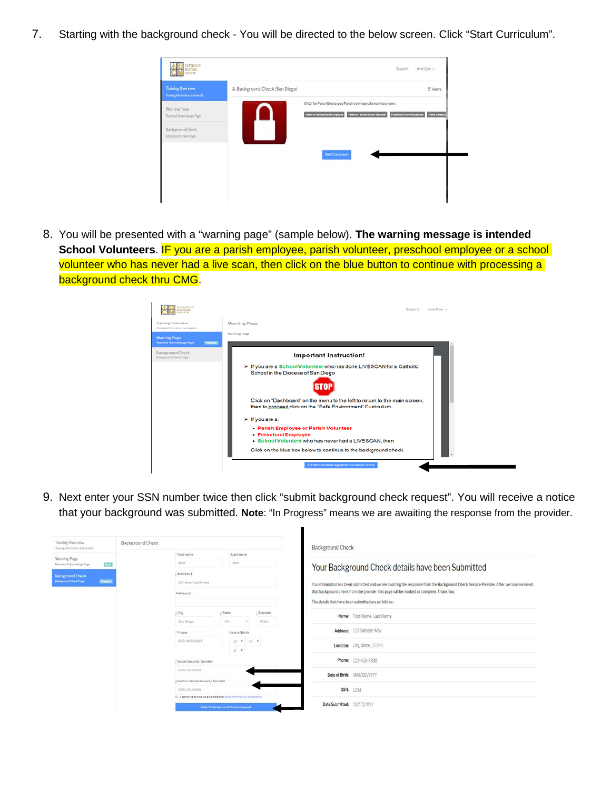7. Starting with the background check - You will be directed to the below screen. Click "Start Curriculum".



8. You will be presented with a "warning page" (sample below). **The warning message is intended**  School Volunteers. IF you are a parish employee, parish volunteer, preschool employee or a school volunteer who has never had a live scan, then click on the blue button to continue with processing a background check thru CMG.



9. Next enter your SSN number twice then click "submit background check request". You will receive a notice that your background was submitted. **Note**: "In Progress" means we are awaiting the response from the provider.

| Training Overview<br>Training information and results | <b>Background Check</b> |                                                                | <b>Background Check</b>                       |                                        |                      |                                                                                           |                                                                                                                                        |                                                   |  |
|-------------------------------------------------------|-------------------------|----------------------------------------------------------------|-----------------------------------------------|----------------------------------------|----------------------|-------------------------------------------------------------------------------------------|----------------------------------------------------------------------------------------------------------------------------------------|---------------------------------------------------|--|
| Warning Page                                          |                         |                                                                | * First name<br>: Last name                   |                                        |                      |                                                                                           |                                                                                                                                        |                                                   |  |
| Read and Adenswiedge Rage                             | <b>Excel</b>            |                                                                | Jane <sup>1</sup>                             |                                        | Doe                  |                                                                                           |                                                                                                                                        | Your Background Check details have been Submitted |  |
| <b>Rackeround Check</b>                               |                         |                                                                | - Address 1                                   |                                        |                      |                                                                                           |                                                                                                                                        |                                                   |  |
| <b>Rackground Check Page</b><br><b>Promis</b>         |                         |                                                                | 123 Jane Doe Street<br>Address 2              |                                        |                      |                                                                                           | You information has been submitted and we are awaiting the response from the Background Check Service Provider. After we have received |                                                   |  |
|                                                       |                         |                                                                |                                               |                                        |                      | that background check from the provider, this page will be marked as complete. Thank You, |                                                                                                                                        |                                                   |  |
|                                                       |                         |                                                                |                                               |                                        |                      |                                                                                           | The details that have been submitted are as follows:                                                                                   |                                                   |  |
|                                                       |                         |                                                                | : City                                        |                                        | : State<br>: Zipcode |                                                                                           | Name: First Name Last Name                                                                                                             |                                                   |  |
|                                                       |                         |                                                                | San Diego                                     | CA                                     | $\ddot{}$            | 92111                                                                                     |                                                                                                                                        |                                                   |  |
|                                                       |                         |                                                                | * Phone                                       | Date of Birth                          |                      |                                                                                           | Address: 123 Sample Way                                                                                                                |                                                   |  |
|                                                       |                         |                                                                | 050-400-0203                                  |                                        | $19 - 7 - 01 - 7$    |                                                                                           | Location: City, State, 12345                                                                                                           |                                                   |  |
|                                                       |                         |                                                                |                                               | 17 <sub>7</sub>                        |                      |                                                                                           |                                                                                                                                        |                                                   |  |
|                                                       |                         | * Social Security Number                                       |                                               |                                        |                      |                                                                                           | Phone: 123-456-7890                                                                                                                    |                                                   |  |
|                                                       |                         | 000-00-0000                                                    |                                               |                                        |                      |                                                                                           |                                                                                                                                        |                                                   |  |
|                                                       |                         |                                                                | Confirm Social Security Number<br>000-00-0000 |                                        |                      |                                                                                           | Date of Birth: MM/DD/YYYY                                                                                                              |                                                   |  |
|                                                       |                         |                                                                |                                               |                                        |                      |                                                                                           | <b>SSN: 1234</b>                                                                                                                       |                                                   |  |
|                                                       |                         | Ill I agree to terms and conditions flead terms And conditions |                                               |                                        |                      |                                                                                           |                                                                                                                                        |                                                   |  |
|                                                       |                         |                                                                |                                               | <b>Submit Background Check Request</b> |                      |                                                                                           | Date Submitted: 10/17/2017                                                                                                             |                                                   |  |